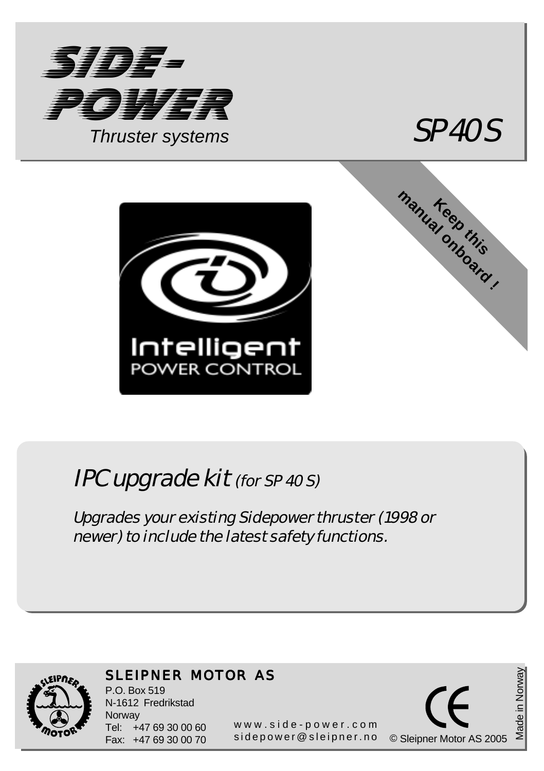



manual onboard !



## IPC upgrade kit (for SP 40 S)

Upgrades your existing Sidepower thruster (1998 or newer) to include the latest safety functions.



## SLEIPNER MOTOR AS

P.O. Box 519 N-1612 Fredrikstad **Norway** Tel: +47 69 30 00 60 Fax: +47 69 30 00 70

<sup>7</sup> 69 30 00 70 sidepower@sleipner.no © Sleipner Motor AS 20 www.side-power.com

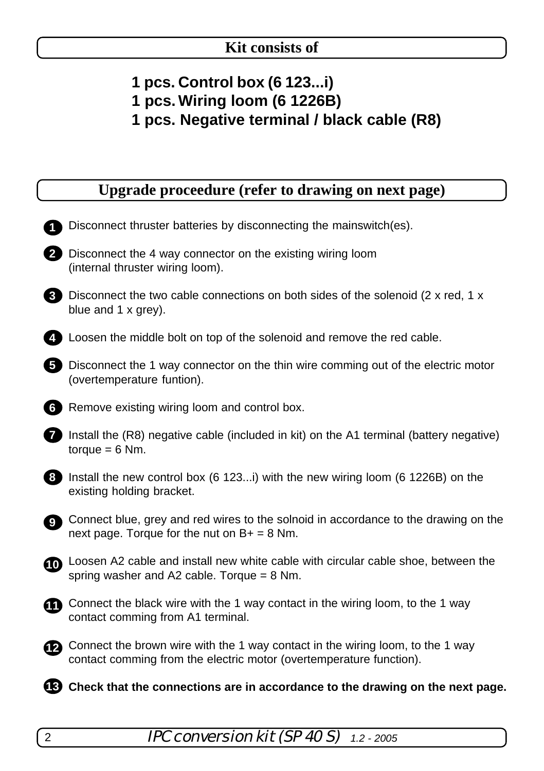- **1 pcs. Control box (6 123...i)**
- **1 pcs. Wiring loom (6 1226B)**
- **1 pcs. Negative terminal / black cable (R8)**

|  | Upgrade proceedure (refer to drawing on next page) |  |  |  |
|--|----------------------------------------------------|--|--|--|
|  |                                                    |  |  |  |

|                | Disconnect thruster batteries by disconnecting the mainswitch (es).                                                                                   |
|----------------|-------------------------------------------------------------------------------------------------------------------------------------------------------|
| $\overline{2}$ | Disconnect the 4 way connector on the existing wiring loom<br>(internal thruster wiring loom).                                                        |
|                | <b>8</b> Disconnect the two cable connections on both sides of the solenoid (2 x red, 1 x<br>blue and 1 x grey).                                      |
|                | Loosen the middle bolt on top of the solenoid and remove the red cable.                                                                               |
| 5              | Disconnect the 1 way connector on the thin wire comming out of the electric motor<br>(overtemperature funtion).                                       |
| 6              | Remove existing wiring loom and control box.                                                                                                          |
| 7              | Install the (R8) negative cable (included in kit) on the A1 terminal (battery negative)<br>$torque = 6 Nm.$                                           |
| 8              | Install the new control box (6 123) with the new wiring loom (6 1226B) on the<br>existing holding bracket.                                            |
| 9 <sup>1</sup> | Connect blue, grey and red wires to the solnoid in accordance to the drawing on the<br>next page. Torque for the nut on $B+ = 8$ Nm.                  |
|                | <b>1</b> Loosen A2 cable and install new white cable with circular cable shoe, between the<br>spring washer and A2 cable. Torque = $8$ Nm.            |
|                | Connect the black wire with the 1 way contact in the wiring loom, to the 1 way<br>contact comming from A1 terminal.                                   |
| œ.             | Connect the brown wire with the 1 way contact in the wiring loom, to the 1 way<br>contact comming from the electric motor (overtemperature function). |
|                | <b>B</b> Check that the connections are in accordance to the drawing on the next page.                                                                |
|                |                                                                                                                                                       |

2 IPC conversion kit (SP 40 S) *1.2 - 2005*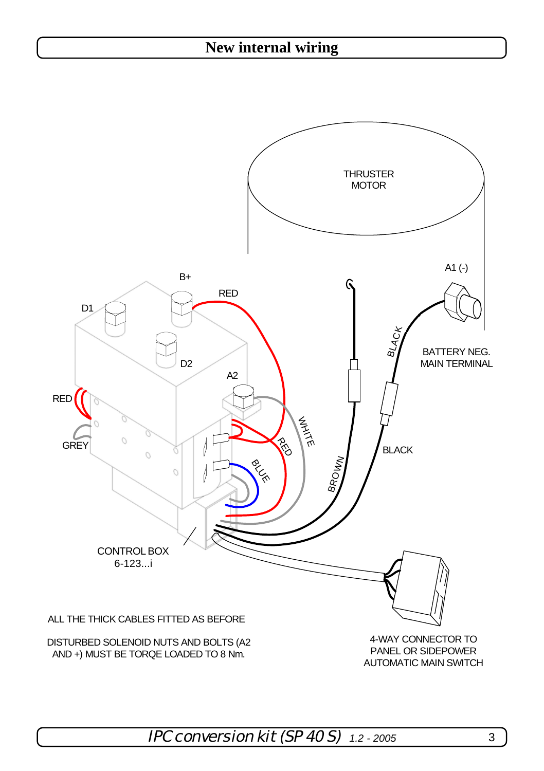## **New internal wiring**